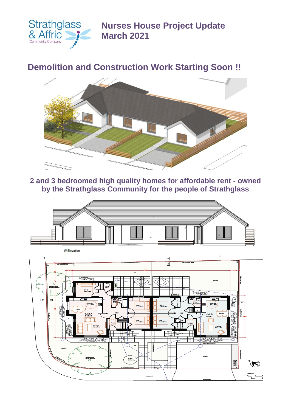

**Nurses House Project Update March 2021**

## **Demolition and Construction Work Starting Soon !!**



**2 and 3 bedroomed high quality homes for affordable rent - owned by the Strathglass Community for the people of Strathglass**



**W** Elevation  $\overline{1}$  $\overline{\mathbf{x}}$  $\overline{\mathbb{Z}}$ F TERMIN **Lease Andrew** ĒŐ  $\mathbf{z}$ Kilchen<br>3.2 x 3.0m Kitchen **BR2**<br>3.1 x 3.0 **BR 2**<br>3.1 x 3.1 Unit A a R m **BR1**<br>3.1 x 3.0s **BR 1**<br>3.1 x 3.0s Lounge Lounge **RANCA REAL ANDERSON** tin colle dian<br>hardstanding É)  $\overline{\overline{\overline{\phantom{m}}}}$